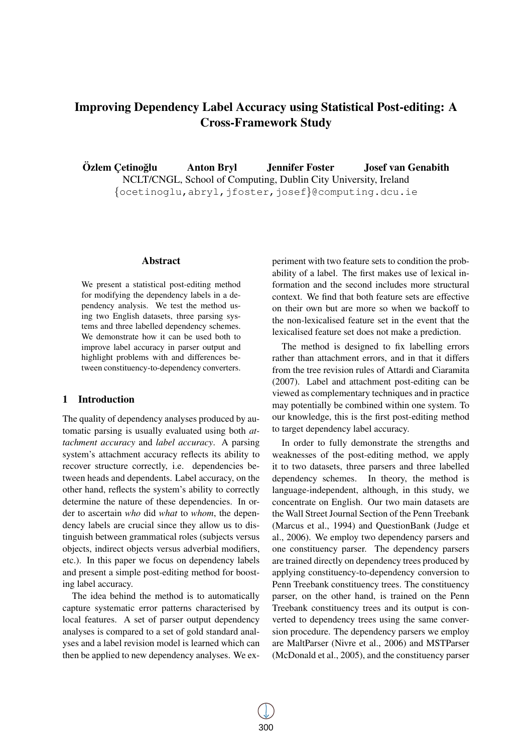# Improving Dependency Label Accuracy using Statistical Post-editing: A Cross-Framework Study

Ozlem C¸ etino ¨ glu Anton Bryl Jennifer Foster Josef van Genabith ˘ NCLT/CNGL, School of Computing, Dublin City University, Ireland {ocetinoglu,abryl,jfoster,josef}@computing.dcu.ie

#### Abstract

We present a statistical post-editing method for modifying the dependency labels in a dependency analysis. We test the method using two English datasets, three parsing systems and three labelled dependency schemes. We demonstrate how it can be used both to improve label accuracy in parser output and highlight problems with and differences between constituency-to-dependency converters.

## 1 Introduction

The quality of dependency analyses produced by automatic parsing is usually evaluated using both *attachment accuracy* and *label accuracy*. A parsing system's attachment accuracy reflects its ability to recover structure correctly, i.e. dependencies between heads and dependents. Label accuracy, on the other hand, reflects the system's ability to correctly determine the nature of these dependencies. In order to ascertain *who* did *what* to *whom*, the dependency labels are crucial since they allow us to distinguish between grammatical roles (subjects versus objects, indirect objects versus adverbial modifiers, etc.). In this paper we focus on dependency labels and present a simple post-editing method for boosting label accuracy.

The idea behind the method is to automatically capture systematic error patterns characterised by local features. A set of parser output dependency analyses is compared to a set of gold standard analyses and a label revision model is learned which can then be applied to new dependency analyses. We experiment with two feature sets to condition the probability of a label. The first makes use of lexical information and the second includes more structural context. We find that both feature sets are effective on their own but are more so when we backoff to the non-lexicalised feature set in the event that the lexicalised feature set does not make a prediction.

The method is designed to fix labelling errors rather than attachment errors, and in that it differs from the tree revision rules of Attardi and Ciaramita (2007). Label and attachment post-editing can be viewed as complementary techniques and in practice may potentially be combined within one system. To our knowledge, this is the first post-editing method to target dependency label accuracy.

In order to fully demonstrate the strengths and weaknesses of the post-editing method, we apply it to two datasets, three parsers and three labelled dependency schemes. In theory, the method is language-independent, although, in this study, we concentrate on English. Our two main datasets are the Wall Street Journal Section of the Penn Treebank (Marcus et al., 1994) and QuestionBank (Judge et al., 2006). We employ two dependency parsers and one constituency parser. The dependency parsers are trained directly on dependency trees produced by applying constituency-to-dependency conversion to Penn Treebank constituency trees. The constituency parser, on the other hand, is trained on the Penn Treebank constituency trees and its output is converted to dependency trees using the same conversion procedure. The dependency parsers we employ are MaltParser (Nivre et al., 2006) and MSTParser (McDonald et al., 2005), and the constituency parser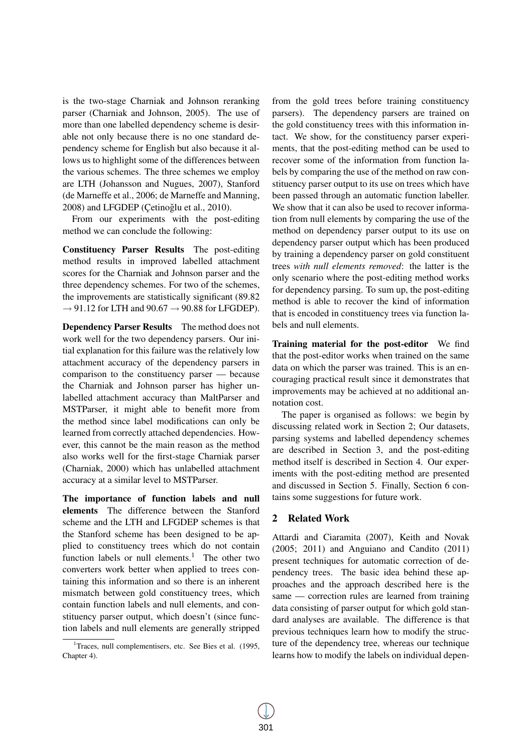is the two-stage Charniak and Johnson reranking parser (Charniak and Johnson, 2005). The use of more than one labelled dependency scheme is desirable not only because there is no one standard dependency scheme for English but also because it allows us to highlight some of the differences between the various schemes. The three schemes we employ are LTH (Johansson and Nugues, 2007), Stanford (de Marneffe et al., 2006; de Marneffe and Manning, 2008) and LFGDEP (Çetinoğlu et al., 2010).

From our experiments with the post-editing method we can conclude the following:

Constituency Parser Results The post-editing method results in improved labelled attachment scores for the Charniak and Johnson parser and the three dependency schemes. For two of the schemes, the improvements are statistically significant (89.82  $\rightarrow$  91.12 for LTH and 90.67  $\rightarrow$  90.88 for LFGDEP).

Dependency Parser Results The method does not work well for the two dependency parsers. Our initial explanation for this failure was the relatively low attachment accuracy of the dependency parsers in comparison to the constituency parser — because the Charniak and Johnson parser has higher unlabelled attachment accuracy than MaltParser and MSTParser, it might able to benefit more from the method since label modifications can only be learned from correctly attached dependencies. However, this cannot be the main reason as the method also works well for the first-stage Charniak parser (Charniak, 2000) which has unlabelled attachment accuracy at a similar level to MSTParser.

The importance of function labels and null elements The difference between the Stanford scheme and the LTH and LFGDEP schemes is that the Stanford scheme has been designed to be applied to constituency trees which do not contain function labels or null elements.<sup>1</sup> The other two converters work better when applied to trees containing this information and so there is an inherent mismatch between gold constituency trees, which contain function labels and null elements, and constituency parser output, which doesn't (since function labels and null elements are generally stripped from the gold trees before training constituency parsers). The dependency parsers are trained on the gold constituency trees with this information intact. We show, for the constituency parser experiments, that the post-editing method can be used to recover some of the information from function labels by comparing the use of the method on raw constituency parser output to its use on trees which have been passed through an automatic function labeller. We show that it can also be used to recover information from null elements by comparing the use of the method on dependency parser output to its use on dependency parser output which has been produced by training a dependency parser on gold constituent trees *with null elements removed*: the latter is the only scenario where the post-editing method works for dependency parsing. To sum up, the post-editing method is able to recover the kind of information that is encoded in constituency trees via function labels and null elements.

Training material for the post-editor We find that the post-editor works when trained on the same data on which the parser was trained. This is an encouraging practical result since it demonstrates that improvements may be achieved at no additional annotation cost.

The paper is organised as follows: we begin by discussing related work in Section 2; Our datasets, parsing systems and labelled dependency schemes are described in Section 3, and the post-editing method itself is described in Section 4. Our experiments with the post-editing method are presented and discussed in Section 5. Finally, Section 6 contains some suggestions for future work.

## 2 Related Work

Attardi and Ciaramita (2007), Keith and Novak (2005; 2011) and Anguiano and Candito (2011) present techniques for automatic correction of dependency trees. The basic idea behind these approaches and the approach described here is the same — correction rules are learned from training data consisting of parser output for which gold standard analyses are available. The difference is that previous techniques learn how to modify the structure of the dependency tree, whereas our technique learns how to modify the labels on individual depen-

<sup>&</sup>lt;sup>1</sup>Traces, null complementisers, etc. See Bies et al. (1995, Chapter 4).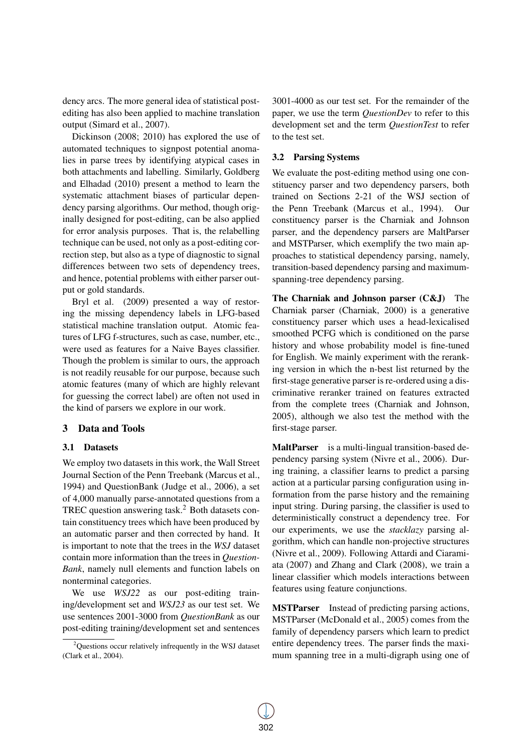dency arcs. The more general idea of statistical postediting has also been applied to machine translation output (Simard et al., 2007).

Dickinson (2008; 2010) has explored the use of automated techniques to signpost potential anomalies in parse trees by identifying atypical cases in both attachments and labelling. Similarly, Goldberg and Elhadad (2010) present a method to learn the systematic attachment biases of particular dependency parsing algorithms. Our method, though originally designed for post-editing, can be also applied for error analysis purposes. That is, the relabelling technique can be used, not only as a post-editing correction step, but also as a type of diagnostic to signal differences between two sets of dependency trees, and hence, potential problems with either parser output or gold standards.

Bryl et al. (2009) presented a way of restoring the missing dependency labels in LFG-based statistical machine translation output. Atomic features of LFG f-structures, such as case, number, etc., were used as features for a Naive Bayes classifier. Though the problem is similar to ours, the approach is not readily reusable for our purpose, because such atomic features (many of which are highly relevant for guessing the correct label) are often not used in the kind of parsers we explore in our work.

## 3 Data and Tools

## 3.1 Datasets

We employ two datasets in this work, the Wall Street Journal Section of the Penn Treebank (Marcus et al., 1994) and QuestionBank (Judge et al., 2006), a set of 4,000 manually parse-annotated questions from a TREC question answering task.<sup>2</sup> Both datasets contain constituency trees which have been produced by an automatic parser and then corrected by hand. It is important to note that the trees in the *WSJ* dataset contain more information than the trees in *Question-Bank*, namely null elements and function labels on nonterminal categories.

We use *WSJ22* as our post-editing training/development set and *WSJ23* as our test set. We use sentences 2001-3000 from *QuestionBank* as our post-editing training/development set and sentences

3001-4000 as our test set. For the remainder of the paper, we use the term *QuestionDev* to refer to this development set and the term *QuestionTest* to refer to the test set.

#### 3.2 Parsing Systems

We evaluate the post-editing method using one constituency parser and two dependency parsers, both trained on Sections 2-21 of the WSJ section of the Penn Treebank (Marcus et al., 1994). Our constituency parser is the Charniak and Johnson parser, and the dependency parsers are MaltParser and MSTParser, which exemplify the two main approaches to statistical dependency parsing, namely, transition-based dependency parsing and maximumspanning-tree dependency parsing.

The Charniak and Johnson parser (C&J) The Charniak parser (Charniak, 2000) is a generative constituency parser which uses a head-lexicalised smoothed PCFG which is conditioned on the parse history and whose probability model is fine-tuned for English. We mainly experiment with the reranking version in which the n-best list returned by the first-stage generative parser is re-ordered using a discriminative reranker trained on features extracted from the complete trees (Charniak and Johnson, 2005), although we also test the method with the first-stage parser.

MaltParser is a multi-lingual transition-based dependency parsing system (Nivre et al., 2006). During training, a classifier learns to predict a parsing action at a particular parsing configuration using information from the parse history and the remaining input string. During parsing, the classifier is used to deterministically construct a dependency tree. For our experiments, we use the *stacklazy* parsing algorithm, which can handle non-projective structures (Nivre et al., 2009). Following Attardi and Ciaramiata (2007) and Zhang and Clark (2008), we train a linear classifier which models interactions between features using feature conjunctions.

MSTParser Instead of predicting parsing actions, MSTParser (McDonald et al., 2005) comes from the family of dependency parsers which learn to predict entire dependency trees. The parser finds the maximum spanning tree in a multi-digraph using one of

<sup>2</sup>Questions occur relatively infrequently in the WSJ dataset (Clark et al., 2004).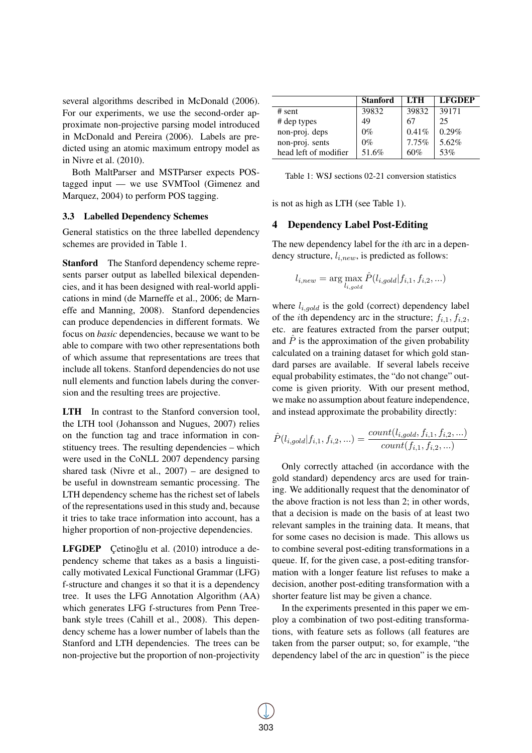several algorithms described in McDonald (2006). For our experiments, we use the second-order approximate non-projective parsing model introduced in McDonald and Pereira (2006). Labels are predicted using an atomic maximum entropy model as in Nivre et al. (2010).

Both MaltParser and MSTParser expects POStagged input — we use SVMTool (Gimenez and Marquez, 2004) to perform POS tagging.

#### 3.3 Labelled Dependency Schemes

General statistics on the three labelled dependency schemes are provided in Table 1.

Stanford The Stanford dependency scheme represents parser output as labelled bilexical dependencies, and it has been designed with real-world applications in mind (de Marneffe et al., 2006; de Marneffe and Manning, 2008). Stanford dependencies can produce dependencies in different formats. We focus on *basic* dependencies, because we want to be able to compare with two other representations both of which assume that representations are trees that include all tokens. Stanford dependencies do not use null elements and function labels during the conversion and the resulting trees are projective.

LTH In contrast to the Stanford conversion tool, the LTH tool (Johansson and Nugues, 2007) relies on the function tag and trace information in constituency trees. The resulting dependencies – which were used in the CoNLL 2007 dependency parsing shared task (Nivre et al., 2007) – are designed to be useful in downstream semantic processing. The LTH dependency scheme has the richest set of labels of the representations used in this study and, because it tries to take trace information into account, has a higher proportion of non-projective dependencies.

LFGDEP Çetinoğlu et al. (2010) introduce a dependency scheme that takes as a basis a linguistically motivated Lexical Functional Grammar (LFG) f-structure and changes it so that it is a dependency tree. It uses the LFG Annotation Algorithm (AA) which generates LFG f-structures from Penn Treebank style trees (Cahill et al., 2008). This dependency scheme has a lower number of labels than the Stanford and LTH dependencies. The trees can be non-projective but the proportion of non-projectivity

|                       | <b>Stanford</b> | <b>LTH</b> | <b>LFGDEP</b> |
|-----------------------|-----------------|------------|---------------|
| $#$ sent              | 39832           | 39832      | 39171         |
| # dep types           | 49              | 67         | 25            |
| non-proj. deps        | $0\%$           | 0.41%      | 0.29%         |
| non-proj. sents       | $0\%$           | 7.75%      | $5.62\%$      |
| head left of modifier | 51.6%           | 60%        | 53%           |

Table 1: WSJ sections 02-21 conversion statistics

is not as high as LTH (see Table 1).

## 4 Dependency Label Post-Editing

The new dependency label for the ith arc in a dependency structure,  $l_{i,new}$ , is predicted as follows:

$$
l_{i,new} = \arg \max_{l_{i,gold}} \hat{P}(l_{i, gold} | f_{i,1}, f_{i,2}, ...)
$$

where  $l_{i,gold}$  is the gold (correct) dependency label of the *i*th dependency arc in the structure;  $f_{i,1}, f_{i,2}$ , etc. are features extracted from the parser output; and  $\ddot{P}$  is the approximation of the given probability calculated on a training dataset for which gold standard parses are available. If several labels receive equal probability estimates, the "do not change" outcome is given priority. With our present method, we make no assumption about feature independence, and instead approximate the probability directly:

$$
\hat{P}(l_{i,gold}|f_{i,1}, f_{i,2},...) = \frac{count(l_{i,gold}, f_{i,1}, f_{i,2},...)}{count(f_{i,1}, f_{i,2},...)}
$$

Only correctly attached (in accordance with the gold standard) dependency arcs are used for training. We additionally request that the denominator of the above fraction is not less than 2; in other words, that a decision is made on the basis of at least two relevant samples in the training data. It means, that for some cases no decision is made. This allows us to combine several post-editing transformations in a queue. If, for the given case, a post-editing transformation with a longer feature list refuses to make a decision, another post-editing transformation with a shorter feature list may be given a chance.

In the experiments presented in this paper we employ a combination of two post-editing transformations, with feature sets as follows (all features are taken from the parser output; so, for example, "the dependency label of the arc in question" is the piece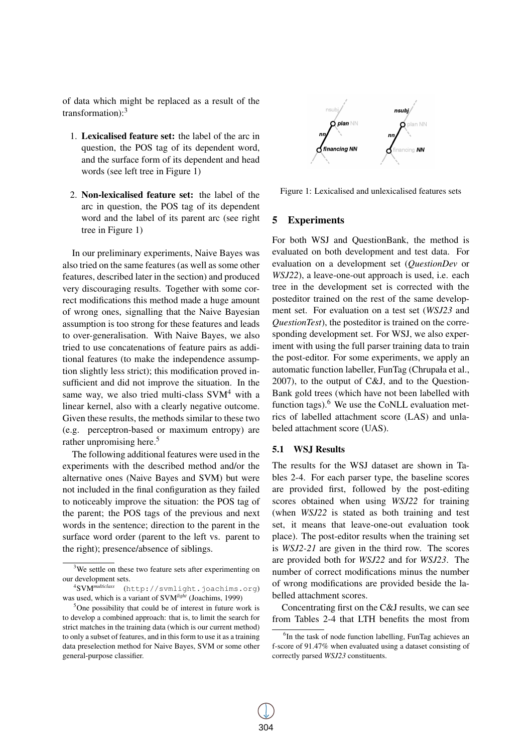of data which might be replaced as a result of the transformation):<sup>3</sup>

- 1. Lexicalised feature set: the label of the arc in question, the POS tag of its dependent word, and the surface form of its dependent and head words (see left tree in Figure 1)
- 2. Non-lexicalised feature set: the label of the arc in question, the POS tag of its dependent word and the label of its parent arc (see right tree in Figure 1)

In our preliminary experiments, Naive Bayes was also tried on the same features (as well as some other features, described later in the section) and produced very discouraging results. Together with some correct modifications this method made a huge amount of wrong ones, signalling that the Naive Bayesian assumption is too strong for these features and leads to over-generalisation. With Naive Bayes, we also tried to use concatenations of feature pairs as additional features (to make the independence assumption slightly less strict); this modification proved insufficient and did not improve the situation. In the same way, we also tried multi-class  $SVM<sup>4</sup>$  with a linear kernel, also with a clearly negative outcome. Given these results, the methods similar to these two (e.g. perceptron-based or maximum entropy) are rather unpromising here.<sup>5</sup>

The following additional features were used in the experiments with the described method and/or the alternative ones (Naive Bayes and SVM) but were not included in the final configuration as they failed to noticeably improve the situation: the POS tag of the parent; the POS tags of the previous and next words in the sentence; direction to the parent in the surface word order (parent to the left vs. parent to the right); presence/absence of siblings.



Figure 1: Lexicalised and unlexicalised features sets

#### 5 Experiments

For both WSJ and QuestionBank, the method is evaluated on both development and test data. For evaluation on a development set (*QuestionDev* or *WSJ22*), a leave-one-out approach is used, i.e. each tree in the development set is corrected with the posteditor trained on the rest of the same development set. For evaluation on a test set (*WSJ23* and *QuestionTest*), the posteditor is trained on the corresponding development set. For WSJ, we also experiment with using the full parser training data to train the post-editor. For some experiments, we apply an automatic function labeller, FunTag (Chrupała et al., 2007), to the output of C&J, and to the Question-Bank gold trees (which have not been labelled with function tags). $6$  We use the CoNLL evaluation metrics of labelled attachment score (LAS) and unlabeled attachment score (UAS).

## 5.1 WSJ Results

The results for the WSJ dataset are shown in Tables 2-4. For each parser type, the baseline scores are provided first, followed by the post-editing scores obtained when using *WSJ22* for training (when *WSJ22* is stated as both training and test set, it means that leave-one-out evaluation took place). The post-editor results when the training set is *WSJ2-21* are given in the third row. The scores are provided both for *WSJ22* and for *WSJ23*. The number of correct modifications minus the number of wrong modifications are provided beside the labelled attachment scores.

Concentrating first on the C&J results, we can see from Tables 2-4 that LTH benefits the most from

<sup>&</sup>lt;sup>3</sup>We settle on these two feature sets after experimenting on our development sets.<br><sup>4</sup>SVM<sup>multiclass</sup> (h

<sup>4</sup>SVM*multiclass* (http://svmlight.joachims.org) was used, which is a variant of SVM*light* (Joachims, 1999)

<sup>5</sup>One possibility that could be of interest in future work is to develop a combined approach: that is, to limit the search for strict matches in the training data (which is our current method) to only a subset of features, and in this form to use it as a training data preselection method for Naive Bayes, SVM or some other general-purpose classifier.

<sup>6</sup> In the task of node function labelling, FunTag achieves an f-score of 91.47% when evaluated using a dataset consisting of correctly parsed *WSJ23* constituents.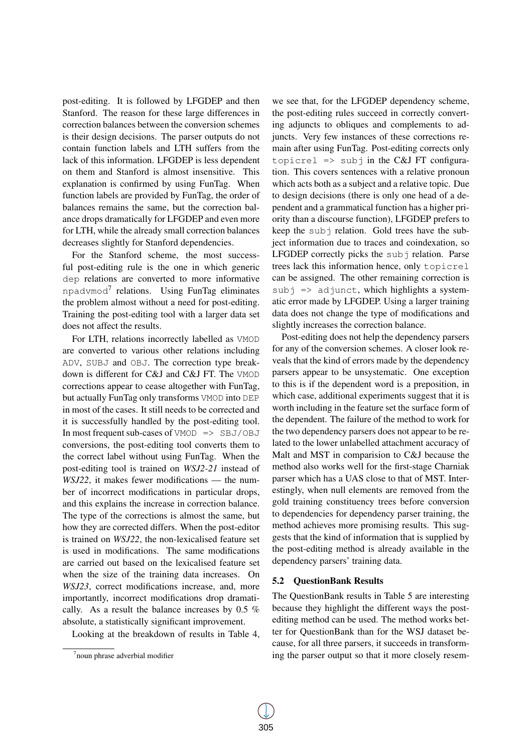post-editing. It is followed by LFGDEP and then Stanford. The reason for these large differences in correction balances between the conversion schemes is their design decisions. The parser outputs do not contain function labels and LTH suffers from the lack of this information. LFGDEP is less dependent on them and Stanford is almost insensitive. This explanation is confirmed by using FunTag. When function labels are provided by FunTag, the order of balances remains the same, but the correction balance drops dramatically for LFGDEP and even more for LTH, while the already small correction balances decreases slightly for Stanford dependencies.

For the Stanford scheme, the most successful post-editing rule is the one in which generic dep relations are converted to more informative npadvmod<sup>7</sup> relations. Using FunTag eliminates the problem almost without a need for post-editing. Training the post-editing tool with a larger data set does not affect the results.

For LTH, relations incorrectly labelled as VMOD are converted to various other relations including ADV, SUBJ and OBJ. The correction type breakdown is different for C&J and C&J FT. The VMOD corrections appear to cease altogether with FunTag, but actually FunTag only transforms VMOD into DEP in most of the cases. It still needs to be corrected and it is successfully handled by the post-editing tool. In most frequent sub-cases of VMOD  $\Rightarrow$  SBJ/OBJ conversions, the post-editing tool converts them to the correct label without using FunTag. When the post-editing tool is trained on *WSJ2-21* instead of *WSJ22*, it makes fewer modifications — the number of incorrect modifications in particular drops, and this explains the increase in correction balance. The type of the corrections is almost the same, but how they are corrected differs. When the post-editor is trained on *WSJ22*, the non-lexicalised feature set is used in modifications. The same modifications are carried out based on the lexicalised feature set when the size of the training data increases. On *WSJ23*, correct modifications increase, and, more importantly, incorrect modifications drop dramatically. As a result the balance increases by 0.5 % absolute, a statistically significant improvement.

Looking at the breakdown of results in Table 4,

we see that, for the LFGDEP dependency scheme, the post-editing rules succeed in correctly converting adjuncts to obliques and complements to adjuncts. Very few instances of these corrections remain after using FunTag. Post-editing corrects only topicrel  $\Rightarrow$  subj in the C&J FT configuration. This covers sentences with a relative pronoun which acts both as a subject and a relative topic. Due to design decisions (there is only one head of a dependent and a grammatical function has a higher priority than a discourse function), LFGDEP prefers to keep the subj relation. Gold trees have the subject information due to traces and coindexation, so LFGDEP correctly picks the subj relation. Parse trees lack this information hence, only topicrel can be assigned. The other remaining correction is  $subj \Rightarrow adjunct, which highlights a system$ atic error made by LFGDEP. Using a larger training data does not change the type of modifications and slightly increases the correction balance.

Post-editing does not help the dependency parsers for any of the conversion schemes. A closer look reveals that the kind of errors made by the dependency parsers appear to be unsystematic. One exception to this is if the dependent word is a preposition, in which case, additional experiments suggest that it is worth including in the feature set the surface form of the dependent. The failure of the method to work for the two dependency parsers does not appear to be related to the lower unlabelled attachment accuracy of Malt and MST in comparision to C&J because the method also works well for the first-stage Charniak parser which has a UAS close to that of MST. Interestingly, when null elements are removed from the gold training constituency trees before conversion to dependencies for dependency parser training, the method achieves more promising results. This suggests that the kind of information that is supplied by the post-editing method is already available in the dependency parsers' training data.

#### 5.2 QuestionBank Results

The QuestionBank results in Table 5 are interesting because they highlight the different ways the postediting method can be used. The method works better for QuestionBank than for the WSJ dataset because, for all three parsers, it succeeds in transforming the parser output so that it more closely resem-

<sup>7</sup> noun phrase adverbial modifier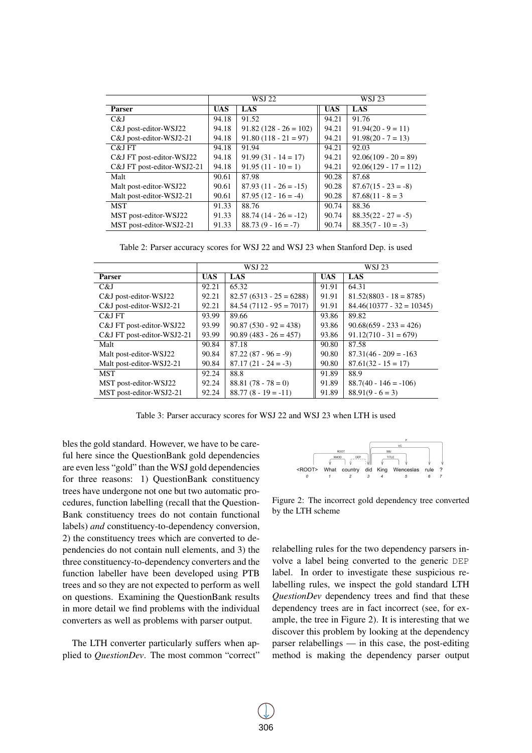|                            |            | WSJ 22                  |            | WSJ 23                  |
|----------------------------|------------|-------------------------|------------|-------------------------|
| <b>Parser</b>              | <b>UAS</b> | LAS                     | <b>UAS</b> | LAS                     |
| C&J                        | 94.18      | 91.52                   | 94.21      | 91.76                   |
| C&J post-editor-WSJ22      | 94.18      | $91.82(128 - 26 = 102)$ | 94.21      | $91.94(20 - 9 = 11)$    |
| C&J post-editor-WSJ2-21    | 94.18      | $91.80(118 - 21 = 97)$  | 94.21      | $91.98(20 - 7 = 13)$    |
| C&J FT                     | 94.18      | 91.94                   | 94.21      | 92.03                   |
| C&J FT post-editor-WSJ22   | 94.18      | $91.99(31 - 14 = 17)$   | 94.21      | $92.06(109 - 20 = 89)$  |
| C&J FT post-editor-WSJ2-21 | 94.18      | $91.95(11 - 10 = 1)$    | 94.21      | $92.06(129 - 17 = 112)$ |
| Malt                       | 90.61      | 87.98                   | 90.28      | 87.68                   |
| Malt post-editor-WSJ22     | 90.61      | $87.93(11 - 26 = -15)$  | 90.28      | $87.67(15 - 23 = -8)$   |
| Malt post-editor-WSJ2-21   | 90.61      | $87.95(12 - 16 = -4)$   | 90.28      | $87.68(11 - 8 = 3$      |
| <b>MST</b>                 | 91.33      | 88.76                   | 90.74      | 88.36                   |
| MST post-editor-WSJ22      | 91.33      | $88.74(14 - 26 = -12)$  | 90.74      | $88.35(22 - 27 = -5)$   |
| MST post-editor-WSJ2-21    | 91.33      | $88.73(9 - 16 = -7)$    | 90.74      | $88.35(7 - 10 = -3)$    |

Table 2: Parser accuracy scores for WSJ 22 and WSJ 23 when Stanford Dep. is used

|                            | WSJ 22 |                           | WSJ 23     |                             |
|----------------------------|--------|---------------------------|------------|-----------------------------|
| <b>Parser</b>              | UAS    | LAS                       | <b>UAS</b> | <b>LAS</b>                  |
| C&J                        | 92.21  | 65.32                     | 91.91      | 64.31                       |
| C&J post-editor-WSJ22      | 92.21  | $82.57(6313 - 25 = 6288)$ | 91.91      | $81.52(8803 - 18 = 8785)$   |
| C&J post-editor-WSJ2-21    | 92.21  | $84.54(7112 - 95 = 7017)$ | 91.91      | $84.46(10377 - 32 = 10345)$ |
| C&J FT                     | 93.99  | 89.66                     | 93.86      | 89.82                       |
| C&J FT post-editor-WSJ22   | 93.99  | $90.87(530 - 92 = 438)$   | 93.86      | $90.68(659 - 233 = 426)$    |
| C&J FT post-editor-WSJ2-21 | 93.99  | $90.89(483 - 26 = 457)$   | 93.86      | $91.12(710 - 31 = 679)$     |
| Malt                       | 90.84  | 87.18                     | 90.80      | 87.58                       |
| Malt post-editor-WSJ22     | 90.84  | $87.22(87 - 96 = -9)$     | 90.80      | $87.31(46 - 209 = -163$     |
| Malt post-editor-WSJ2-21   | 90.84  | $87.17(21 - 24 = -3)$     | 90.80      | $87.61(32 - 15 = 17)$       |
| <b>MST</b>                 | 92.24  | 88.8                      | 91.89      | 88.9                        |
| MST post-editor-WSJ22      | 92.24  | $88.81(78 - 78 = 0)$      | 91.89      | $88.7(40 - 146 = -106)$     |
| MST post-editor-WSJ2-21    | 92.24  | $88.77(8 - 19 = -11)$     | 91.89      | $88.91(9 - 6 = 3)$          |

Table 3: Parser accuracy scores for WSJ 22 and WSJ 23 when LTH is used

bles the gold standard. However, we have to be careful here since the QuestionBank gold dependencies are even less "gold" than the WSJ gold dependencies for three reasons: 1) QuestionBank constituency trees have undergone not one but two automatic procedures, function labelling (recall that the Question-Bank constituency trees do not contain functional labels) *and* constituency-to-dependency conversion, 2) the constituency trees which are converted to dependencies do not contain null elements, and 3) the three constituency-to-dependency converters and the function labeller have been developed using PTB trees and so they are not expected to perform as well on questions. Examining the QuestionBank results in more detail we find problems with the individual converters as well as problems with parser output.

The LTH converter particularly suffers when applied to *QuestionDev*. The most common "correct"



Figure 2: The incorrect gold dependency tree converted by the LTH scheme

relabelling rules for the two dependency parsers involve a label being converted to the generic DEP label. In order to investigate these suspicious relabelling rules, we inspect the gold standard LTH *QuestionDev* dependency trees and find that these dependency trees are in fact incorrect (see, for example, the tree in Figure 2). It is interesting that we discover this problem by looking at the dependency parser relabellings — in this case, the post-editing method is making the dependency parser output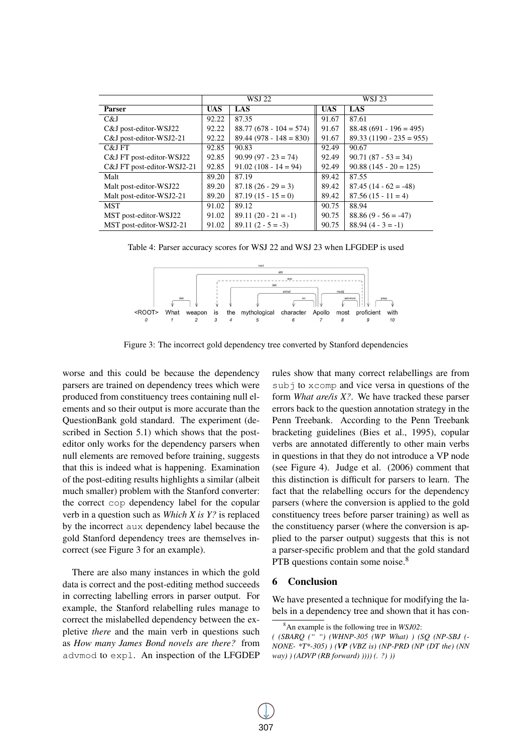|                            | <b>WSJ 22</b> |                          | WSJ 23     |                           |
|----------------------------|---------------|--------------------------|------------|---------------------------|
| <b>Parser</b>              | <b>UAS</b>    | LAS                      | <b>UAS</b> | LAS                       |
| C&J                        | 92.22         | 87.35                    | 91.67      | 87.61                     |
| C&J post-editor-WSJ22      | 92.22         | $88.77(678 - 104 = 574)$ | 91.67      | $88.48(691 - 196 = 495)$  |
| C&J post-editor-WSJ2-21    | 92.22         | $89.44(978 - 148 = 830)$ | 91.67      | $89.33(1190 - 235 = 955)$ |
| C&J FT                     | 92.85         | 90.83                    | 92.49      | 90.67                     |
| C&J FT post-editor-WSJ22   | 92.85         | $90.99(97 - 23 = 74)$    | 92.49      | $90.71(87 - 53 = 34)$     |
| C&J FT post-editor-WSJ2-21 | 92.85         | $91.02(108 - 14 = 94)$   | 92.49      | $90.88(145 - 20 = 125)$   |
| Malt                       | 89.20         | 87.19                    | 89.42      | 87.55                     |
| Malt post-editor-WSJ22     | 89.20         | $87.18(26 - 29 = 3)$     | 89.42      | $87.45(14-62=-48)$        |
| Malt post-editor-WSJ2-21   | 89.20         | $87.19(15 - 15 = 0)$     | 89.42      | $87.56(15 - 11 = 4)$      |
| <b>MST</b>                 | 91.02         | 89.12                    | 90.75      | 88.94                     |
| MST post-editor-WSJ22      | 91.02         | $89.11(20 - 21 = -1)$    | 90.75      | $88.86(9 - 56 = -47)$     |
| MST post-editor-WSJ2-21    | 91.02         | $89.11(2 - 5 = -3)$      | 90.75      | $88.94(4 - 3 = -1)$       |

Table 4: Parser accuracy scores for WSJ 22 and WSJ 23 when LFGDEP is used



Figure 3: The incorrect gold dependency tree converted by Stanford dependencies

worse and this could be because the dependency parsers are trained on dependency trees which were produced from constituency trees containing null elements and so their output is more accurate than the QuestionBank gold standard. The experiment (described in Section 5.1) which shows that the posteditor only works for the dependency parsers when null elements are removed before training, suggests that this is indeed what is happening. Examination of the post-editing results highlights a similar (albeit much smaller) problem with the Stanford converter: the correct cop dependency label for the copular verb in a question such as *Which X is Y?* is replaced by the incorrect aux dependency label because the gold Stanford dependency trees are themselves incorrect (see Figure 3 for an example).

There are also many instances in which the gold data is correct and the post-editing method succeeds in correcting labelling errors in parser output. For example, the Stanford relabelling rules manage to correct the mislabelled dependency between the expletive *there* and the main verb in questions such as *How many James Bond novels are there?* from advmod to expl. An inspection of the LFGDEP

rules show that many correct relabellings are from subj to xcomp and vice versa in questions of the form *What are/is X?*. We have tracked these parser errors back to the question annotation strategy in the Penn Treebank. According to the Penn Treebank bracketing guidelines (Bies et al., 1995), copular verbs are annotated differently to other main verbs in questions in that they do not introduce a VP node (see Figure 4). Judge et al. (2006) comment that this distinction is difficult for parsers to learn. The fact that the relabelling occurs for the dependency parsers (where the conversion is applied to the gold constituency trees before parser training) as well as the constituency parser (where the conversion is applied to the parser output) suggests that this is not a parser-specific problem and that the gold standard PTB questions contain some noise.<sup>8</sup>

#### 6 Conclusion

We have presented a technique for modifying the labels in a dependency tree and shown that it has con-

<sup>8</sup>An example is the following tree in *WSJ02*:

*<sup>( (</sup>SBARQ (" ") (WHNP-305 (WP What) ) (SQ (NP-SBJ (- NONE- \*T\*-305) ) (VP (VBZ is) (NP-PRD (NP (DT the) (NN way) ) (ADVP (RB forward) )))) (. ?) ))*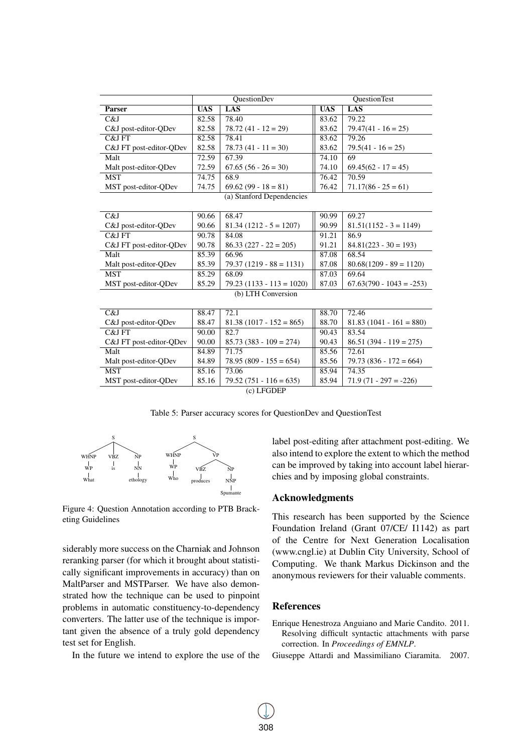|                         | QuestionDev |                            | QuestionTest |                            |  |
|-------------------------|-------------|----------------------------|--------------|----------------------------|--|
| <b>Parser</b>           | <b>UAS</b>  | LAS                        | <b>UAS</b>   | LAS                        |  |
| C&J                     | 82.58       | 78.40                      | 83.62        | 79.22                      |  |
| C&J post-editor-QDev    | 82.58       | $78.72(41 - 12 = 29)$      | 83.62        | $79.47(41 - 16 = 25)$      |  |
| C&J FT                  | 82.58       | 78.41                      | 83.62        | 79.26                      |  |
| C&J FT post-editor-QDev | 82.58       | $78.73(41 - 11 = 30)$      | 83.62        | $79.5(41 - 16 = 25)$       |  |
| Malt                    | 72.59       | 67.39                      | 74.10        | 69                         |  |
| Malt post-editor-QDev   | 72.59       | $67.65(56 - 26 = 30)$      | 74.10        | $69.45(62 - 17 = 45)$      |  |
| <b>MST</b>              | 74.75       | 68.9                       | 76.42        | 70.59                      |  |
| MST post-editor-QDev    | 74.75       | $69.62(99 - 18 = 81)$      | 76.42        | $71.17(86 - 25 = 61)$      |  |
|                         |             | (a) Stanford Dependencies  |              |                            |  |
|                         |             |                            |              |                            |  |
| C&J                     | 90.66       | 68.47                      | 90.99        | 69.27                      |  |
| C&J post-editor-QDev    | 90.66       | $81.34(1212 - 5 = 1207)$   | 90.99        | $81.51(1152 - 3 = 1149)$   |  |
| C&J FT                  | 90.78       | 84.08                      | 91.21        | 86.9                       |  |
| C&J FT post-editor-QDev | 90.78       | $86.33(227 - 22 = 205)$    | 91.21        | $84.81(223 - 30 = 193)$    |  |
| Malt                    | 85.39       | 66.96                      | 87.08        | 68.54                      |  |
| Malt post-editor-QDev   | 85.39       | $79.37(1219 - 88 = 1131)$  | 87.08        | $80.68(1209 - 89 = 1120)$  |  |
| <b>MST</b>              | 85.29       | 68.09                      | 87.03        | 69.64                      |  |
| MST post-editor-QDev    | 85.29       | $79.23(1133 - 113 = 1020)$ | 87.03        | $67.63(790 - 1043 = -253)$ |  |
| (b) LTH Conversion      |             |                            |              |                            |  |
|                         |             |                            |              |                            |  |
| C&J                     | 88.47       | 72.1                       | 88.70        | 72.46                      |  |
| C&J post-editor-QDev    | 88.47       | $81.38(1017 - 152 = 865)$  | 88.70        | $81.83(1041 - 161 = 880)$  |  |
| C&J FT                  | 90.00       | 82.7                       | 90.43        | 83.54                      |  |
| C&J FT post-editor-QDev | 90.00       | $85.73(383 - 109) = 274$   | 90.43        | $86.51(394 - 119 = 275)$   |  |
| Malt                    | 84.89       | 71.75                      | 85.56        | 72.61                      |  |
| Malt post-editor-QDev   | 84.89       | $78.95(809 - 155 = 654)$   | 85.56        | $79.73(836 - 172 = 664)$   |  |
| <b>MST</b>              | 85.16       | 73.06                      | 85.94        | 74.35                      |  |
| MST post-editor-QDev    | 85.16       | $79.52(751 - 116 = 635)$   | 85.94        | $71.9(71 - 297 = -226)$    |  |
| (c) LFGDEP              |             |                            |              |                            |  |

Table 5: Parser accuracy scores for QuestionDev and QuestionTest



Figure 4: Question Annotation according to PTB Bracketing Guidelines

siderably more success on the Charniak and Johnson reranking parser (for which it brought about statistically significant improvements in accuracy) than on MaltParser and MSTParser. We have also demonstrated how the technique can be used to pinpoint problems in automatic constituency-to-dependency converters. The latter use of the technique is important given the absence of a truly gold dependency test set for English.

In the future we intend to explore the use of the

label post-editing after attachment post-editing. We also intend to explore the extent to which the method can be improved by taking into account label hierarchies and by imposing global constraints.

#### Acknowledgments

This research has been supported by the Science Foundation Ireland (Grant 07/CE/ I1142) as part of the Centre for Next Generation Localisation (www.cngl.ie) at Dublin City University, School of Computing. We thank Markus Dickinson and the anonymous reviewers for their valuable comments.

## References

- Enrique Henestroza Anguiano and Marie Candito. 2011. Resolving difficult syntactic attachments with parse correction. In *Proceedings of EMNLP*.
- Giuseppe Attardi and Massimiliano Ciaramita. 2007.